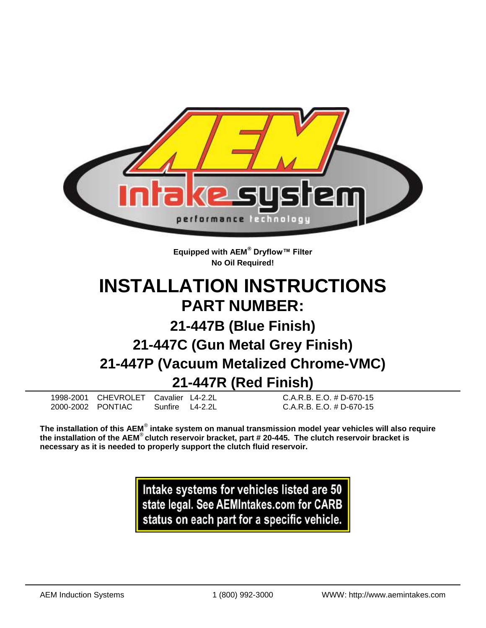

**Equipped with AEM® Dryflow™ Filter No Oil Required!**

# **INSTALLATION INSTRUCTIONS PART NUMBER:**

# **21-447B (Blue Finish)**

# **21-447C (Gun Metal Grey Finish) 21-447P (Vacuum Metalized Chrome-VMC) 21-447R (Red Finish)**

1998-2001 CHEVROLET Cavalier L4-2.2L C.A.R.B. E.O. # D-670-15 2000-2002 PONTIAC Sunfire L4-2.2L C.A.R.B. E.O. # D-670-15

**The installation of this AEM**® **intake system on manual transmission model year vehicles will also require** 

**the installation of the AEM**® **clutch reservoir bracket, part # 20-445. The clutch reservoir bracket is necessary as it is needed to properly support the clutch fluid reservoir.**

> Intake systems for vehicles listed are 50 state legal. See AEMIntakes.com for CARB status on each part for a specific vehicle.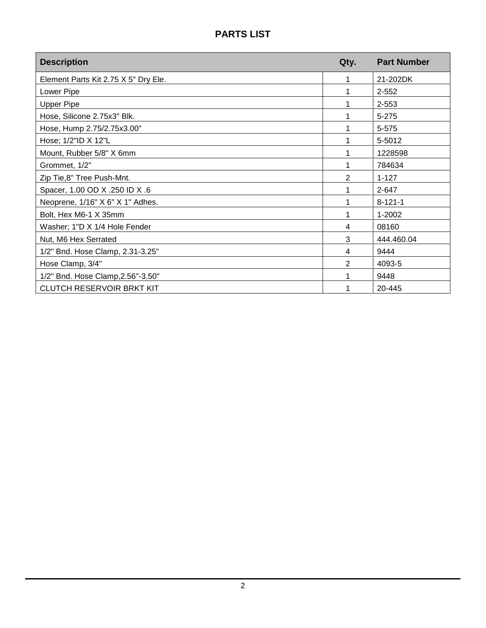# **PARTS LIST**

| <b>Description</b>                   | Qty.           | <b>Part Number</b> |
|--------------------------------------|----------------|--------------------|
| Element Parts Kit 2.75 X 5" Dry Ele. | 1              | 21-202DK           |
| Lower Pipe                           |                | $2 - 552$          |
| <b>Upper Pipe</b>                    |                | 2-553              |
| Hose, Silicone 2.75x3" Blk.          | 1              | 5-275              |
| Hose, Hump 2.75/2.75x3.00"           | 1              | 5-575              |
| Hose; 1/2"ID X 12"L                  | 1              | 5-5012             |
| Mount, Rubber 5/8" X 6mm             | 1              | 1228598            |
| Grommet, 1/2"                        | 1              | 784634             |
| Zip Tie,8" Tree Push-Mnt.            | 2              | $1 - 127$          |
| Spacer, 1.00 OD X .250 ID X .6       | 1              | 2-647              |
| Neoprene, 1/16" X 6" X 1" Adhes.     | 1              | $8 - 121 - 1$      |
| Bolt, Hex M6-1 X 35mm                | 1              | 1-2002             |
| Washer; 1"D X 1/4 Hole Fender        | 4              | 08160              |
| Nut, M6 Hex Serrated                 | 3              | 444.460.04         |
| 1/2" Bnd. Hose Clamp, 2.31-3.25"     | 4              | 9444               |
| Hose Clamp, 3/4"                     | $\overline{2}$ | 4093-5             |
| 1/2" Bnd. Hose Clamp, 2.56"-3.50"    | 1              | 9448               |
| <b>CLUTCH RESERVOIR BRKT KIT</b>     |                | 20-445             |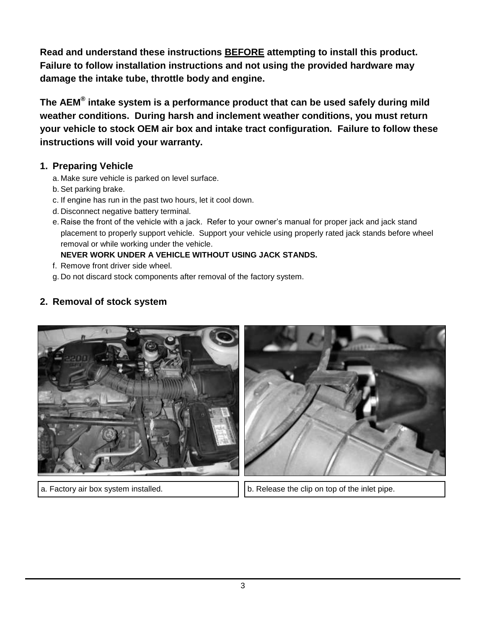**Read and understand these instructions BEFORE attempting to install this product. Failure to follow installation instructions and not using the provided hardware may damage the intake tube, throttle body and engine.**

**The AEM® intake system is a performance product that can be used safely during mild weather conditions. During harsh and inclement weather conditions, you must return your vehicle to stock OEM air box and intake tract configuration. Failure to follow these instructions will void your warranty.**

#### **1. Preparing Vehicle**

- a. Make sure vehicle is parked on level surface.
- b. Set parking brake.
- c. If engine has run in the past two hours, let it cool down.
- d. Disconnect negative battery terminal.
- e. Raise the front of the vehicle with a jack. Refer to your owner's manual for proper jack and jack stand placement to properly support vehicle. Support your vehicle using properly rated jack stands before wheel removal or while working under the vehicle.

#### **NEVER WORK UNDER A VEHICLE WITHOUT USING JACK STANDS.**

- f. Remove front driver side wheel.
- g. Do not discard stock components after removal of the factory system.

## **2. Removal of stock system**





a. Factory air box system installed. b. Release the clip on top of the inlet pipe.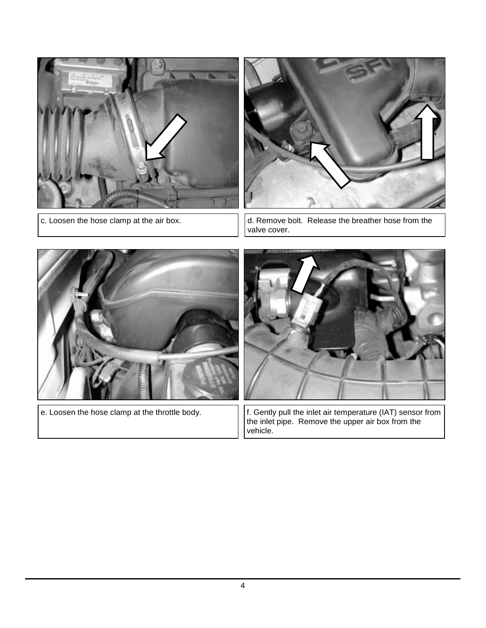



c. Loosen the hose clamp at the air box.  $\vert \cdot \vert$  d. Remove bolt. Release the breather hose from the valve cover.





e. Loosen the hose clamp at the throttle body.  $\vert \cdot \vert$  f. Gently pull the inlet air temperature (IAT) sensor from the inlet pipe. Remove the upper air box from the vehicle. **NOTE: Do not pull by wires.**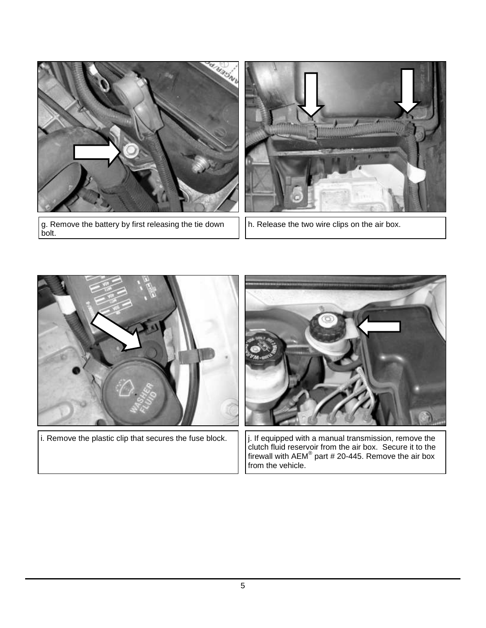

g. Remove the battery by first releasing the tie down bolt.



h. Release the two wire clips on the air box.



 $\vert$  i. Remove the plastic clip that secures the fuse block.  $\vert\,\,\vert$  j. If equipped with a manual transmission, remove the



clutch fluid reservoir from the air box. Secure it to the firewall with AEM $^{\circ}$  part # 20-445. Remove the air box from the vehicle.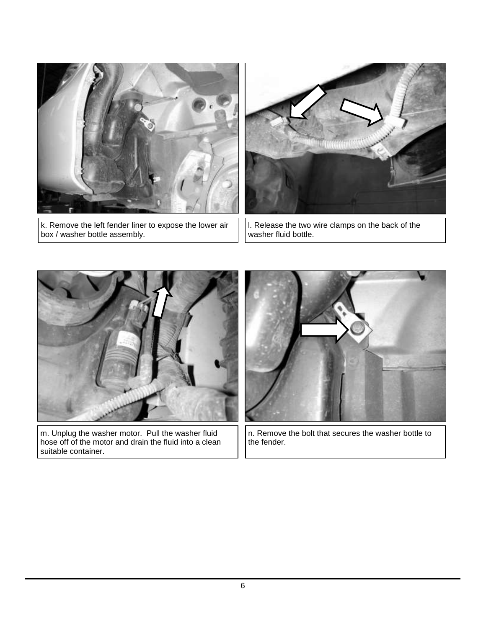

k. Remove the left fender liner to expose the lower air box / washer bottle assembly.



l. Release the two wire clamps on the back of the washer fluid bottle.



m. Unplug the washer motor. Pull the washer fluid hose off of the motor and drain the fluid into a clean suitable container.

n. Remove the bolt that secures the washer bottle to the fender.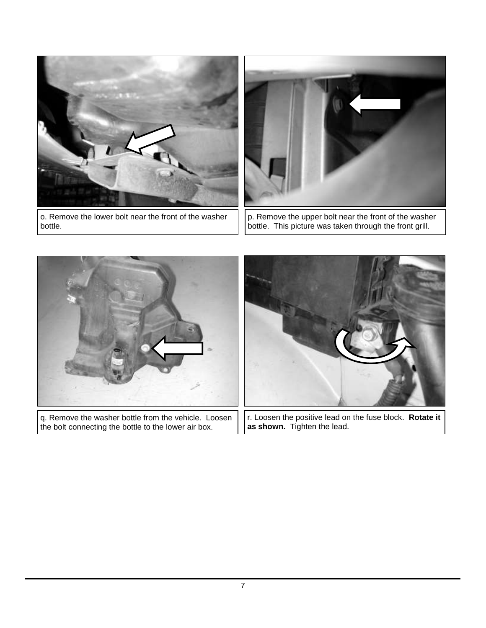

o. Remove the lower bolt near the front of the washer bottle.



p. Remove the upper bolt near the front of the washer bottle. This picture was taken through the front grill.



q. Remove the washer bottle from the vehicle. Loosen the bolt connecting the bottle to the lower air box.



r. Loosen the positive lead on the fuse block. **Rotate it as shown.** Tighten the lead.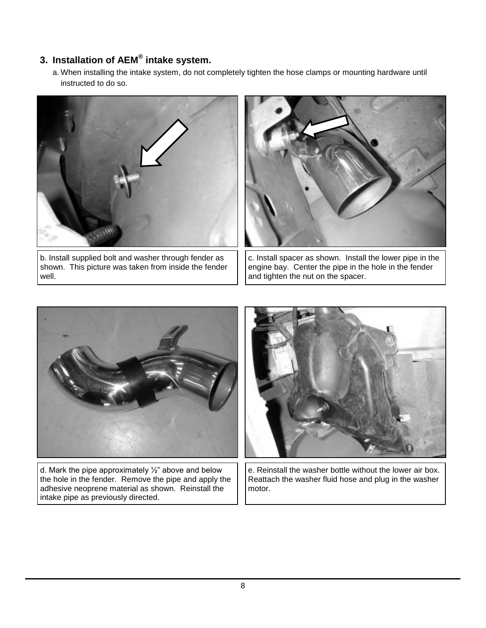## **3. Installation of AEM® intake system.**

a. When installing the intake system, do not completely tighten the hose clamps or mounting hardware until instructed to do so.



b. Install supplied bolt and washer through fender as shown. This picture was taken from inside the fender well.



c. Install spacer as shown. Install the lower pipe in the engine bay. Center the pipe in the hole in the fender and tighten the nut on the spacer.



d. Mark the pipe approximately  $\frac{1}{2}$ " above and below the hole in the fender. Remove the pipe and apply the adhesive neoprene material as shown. Reinstall the intake pipe as previously directed.



e. Reinstall the washer bottle without the lower air box. Reattach the washer fluid hose and plug in the washer motor.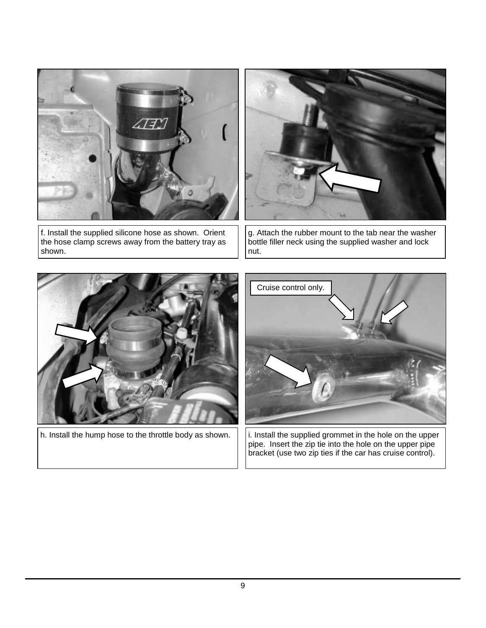

f. Install the supplied silicone hose as shown. Orient the hose clamp screws away from the battery tray as shown.



g. Attach the rubber mount to the tab near the washer bottle filler neck using the supplied washer and lock nut.



h. Install the hump hose to the throttle body as shown.



i. Install the supplied grommet in the hole on the upper pipe. Insert the zip tie into the hole on the upper pipe bracket (use two zip ties if the car has cruise control).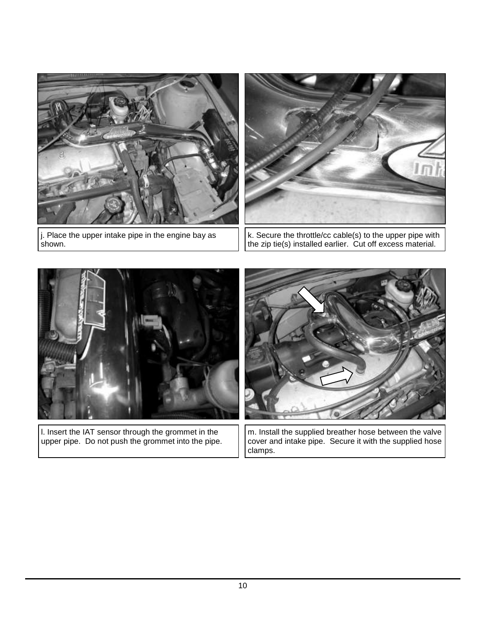

j. Place the upper intake pipe in the engine bay as shown.



k. Secure the throttle/cc cable(s) to the upper pipe with the zip tie(s) installed earlier. Cut off excess material.



l. Insert the IAT sensor through the grommet in the upper pipe. Do not push the grommet into the pipe.



m. Install the supplied breather hose between the valve cover and intake pipe. Secure it with the supplied hose clamps.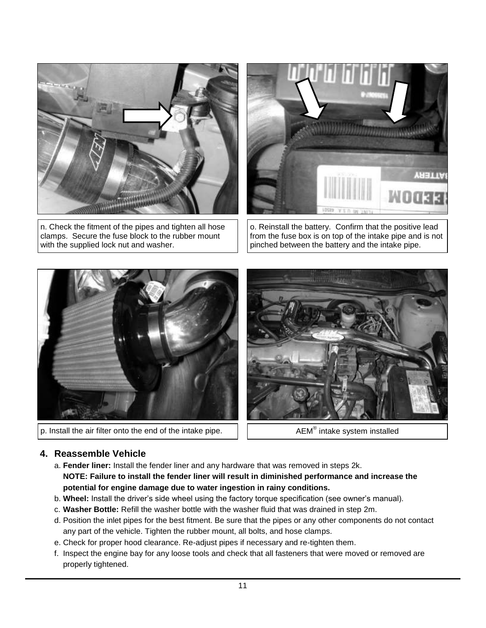

n. Check the fitment of the pipes and tighten all hose clamps. Secure the fuse block to the rubber mount with the supplied lock nut and washer.



o. Reinstall the battery. Confirm that the positive lead from the fuse box is on top of the intake pipe and is not pinched between the battery and the intake pipe.



p. Install the air filter onto the end of the intake pipe.

 $AEM^{\otimes}$  intake system installed

#### **4. Reassemble Vehicle**

- a. **Fender liner:** Install the fender liner and any hardware that was removed in steps 2k. **NOTE: Failure to install the fender liner will result in diminished performance and increase the potential for engine damage due to water ingestion in rainy conditions.**
- b. **Wheel:** Install the driver's side wheel using the factory torque specification (see owner's manual).
- c. **Washer Bottle:** Refill the washer bottle with the washer fluid that was drained in step 2m.
- d. Position the inlet pipes for the best fitment. Be sure that the pipes or any other components do not contact any part of the vehicle. Tighten the rubber mount, all bolts, and hose clamps.
- e. Check for proper hood clearance. Re-adjust pipes if necessary and re-tighten them.
- f. Inspect the engine bay for any loose tools and check that all fasteners that were moved or removed are properly tightened.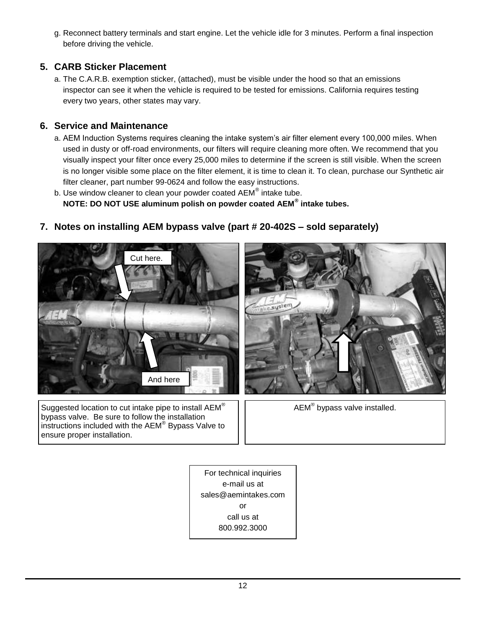g. Reconnect battery terminals and start engine. Let the vehicle idle for 3 minutes. Perform a final inspection before driving the vehicle.

### **5. CARB Sticker Placement**

a. The C.A.R.B. exemption sticker, (attached), must be visible under the hood so that an emissions inspector can see it when the vehicle is required to be tested for emissions. California requires testing every two years, other states may vary.

### **6. Service and Maintenance**

- a. AEM Induction Systems requires cleaning the intake system's air filter element every 100,000 miles. When used in dusty or off-road environments, our filters will require cleaning more often. We recommend that you visually inspect your filter once every 25,000 miles to determine if the screen is still visible. When the screen is no longer visible some place on the filter element, it is time to clean it. To clean, purchase our Synthetic air filter cleaner, part number 99-0624 and follow the easy instructions.
- b. Use window cleaner to clean your powder coated  $AEM^{\circledast}$  intake tube. **NOTE: DO NOT USE aluminum polish on powder coated AEM® intake tubes.**

**7. Notes on installing AEM bypass valve (part # 20-402S – sold separately)**



Suggested location to cut intake pipe to install AEM® bypass valve. Be sure to follow the installation instructions included with the  $AEM^{\circledR}$  Bypass Valve to ensure proper installation.



 $\mathsf{AEM}^\circledast$  bypass valve installed.

For technical inquiries e-mail us at sales@aemintakes.com or call us at 800.992.3000